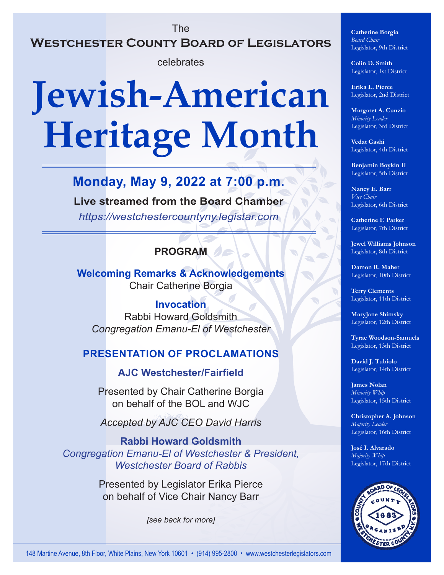## The **Westchester County Board of Legislators**

celebrates

# **Jewish-American Heritage Month**

## **Monday, May 9, 2022 at 7:00 p.m.**

**Live streamed from the Board Chamber** *<https://westchestercountyny.legistar.com>*

### **PROGRAM**

**Welcoming Remarks & Acknowledgements** Chair Catherine Borgia

**Invocation** Rabbi Howard Goldsmith *Congregation Emanu-El of Westchester*

#### **PRESENTATION OF PROCLAMATIONS**

**AJC Westchester/Fairfield**

Presented by Chair Catherine Borgia on behalf of the BOL and WJC

*Accepted by AJC CEO David Harris*

**Rabbi Howard Goldsmith** *Congregation Emanu-El of Westchester & President, Westchester Board of Rabbis*

> Presented by Legislator Erika Pierce on behalf of Vice Chair Nancy Barr

> > *[see back for more]*

**Catherine Borgia** *Board Chair* Legislator, 9th District

**Colin D. Smith** Legislator, 1st District

**Erika L. Pierce** Legislator, 2nd District

**Margaret A. Cunzio** *Minority Leader* Legislator, 3rd District

**Vedat Gashi** Legislator, 4th District

**Benjamin Boykin II** Legislator, 5th District

**Nancy E. Barr** *Vice Chair* Legislator, 6th District

**Catherine F. Parker** Legislator, 7th District

**Jewel Williams Johnson** Legislator, 8th District

**Damon R. Maher** Legislator, 10th District

**Terry Clements** Legislator, 11th District

**MaryJane Shimsky** Legislator, 12th District

**Tyrae Woodson-Samuels** Legislator, 13th District

**David J. Tubiolo** Legislator, 14th District

**James Nolan** *Minority Whip* Legislator, 15th District

**Christopher A. Johnson** *Majority Leader* Legislator, 16th District

**José I. Alvarado** *Majority Whip* Legislator, 17th District